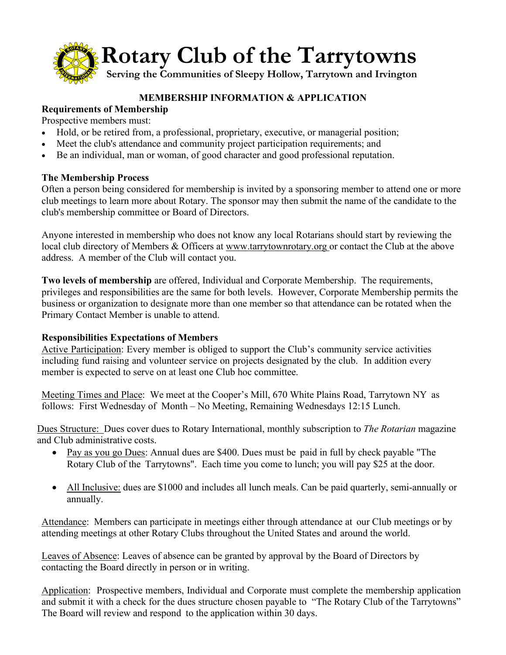

# **MEMBERSHIP INFORMATION & APPLICATION**

# **Requirements of Membership**

Prospective members must:

- Hold, or be retired from, a professional, proprietary, executive, or managerial position;
- Meet the club's attendance and community project participation requirements; and
- Be an individual, man or woman, of good character and good professional reputation.

## **The Membership Process**

Often a person being considered for membership is invited by a sponsoring member to attend one or more club meetings to learn more about Rotary. The sponsor may then submit the name of the candidate to the club's membership committee or Board of Directors.

Anyone interested in membership who does not know any local Rotarians should start by reviewing the local club directory of Members & Officers at [www.tarrytownrotary.org](http://www.tarrytownrotary.org/) or contact the Club at the above address. A member of the Club will contact you.

**Two levels of membership** are offered, Individual and Corporate Membership. The requirements, privileges and responsibilities are the same for both levels. However, Corporate Membership permits the business or organization to designate more than one member so that attendance can be rotated when the Primary Contact Member is unable to attend.

## **Responsibilities Expectations of Members**

Active Participation: Every member is obliged to support the Club's community service activities including fund raising and volunteer service on projects designated by the club. In addition every member is expected to serve on at least one Club hoc committee.

Meeting Times and Place: We meet at the Cooper's Mill, 670 White Plains Road, Tarrytown NY as follows: First Wednesday of Month – No Meeting, Remaining Wednesdays 12:15 Lunch.

Dues Structure: Dues cover dues to Rotary International, monthly subscription to *The Rotarian* magazine and Club administrative costs.

- Pay as you go Dues: Annual dues are \$400. Dues must be paid in full by check payable "The Rotary Club of the Tarrytowns". Each time you come to lunch; you will pay \$25 at the door.
- All Inclusive: dues are \$1000 and includes all lunch meals. Can be paid quarterly, semi-annually or annually.

Attendance: Members can participate in meetings either through attendance at our Club meetings or by attending meetings at other Rotary Clubs throughout the United States and around the world.

Leaves of Absence: Leaves of absence can be granted by approval by the Board of Directors by contacting the Board directly in person or in writing.

Application: Prospective members, Individual and Corporate must complete the membership application and submit it with a check for the dues structure chosen payable to "The Rotary Club of the Tarrytowns" The Board will review and respond to the application within 30 days.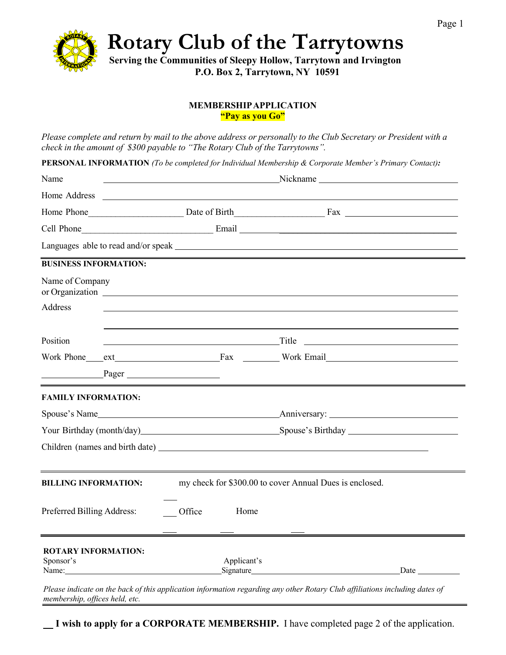

**Rotary Club of the Tarrytowns**

**Serving the Communities of Sleepy Hollow, Tarrytown and Irvington P.O. Box 2, Tarrytown, NY 10591**

#### **MEMBERSHIPAPPLICATION "Pay as you Go"**

Please complete and return by mail to the above address or personally to the Club Secretary or President with a *check in the amount of \$300 payable to "The Rotary Club of the Tarrytowns".*

**PERSONAL INFORMATION** *(To be completed for Individual Membership & Corporate Member's Primary Contact):*

| Name                                                                                   |                                                                                                                                                                                                                                | Nickname |                                                               |                                                                                                                                                                                                                                |                      |  |  |
|----------------------------------------------------------------------------------------|--------------------------------------------------------------------------------------------------------------------------------------------------------------------------------------------------------------------------------|----------|---------------------------------------------------------------|--------------------------------------------------------------------------------------------------------------------------------------------------------------------------------------------------------------------------------|----------------------|--|--|
|                                                                                        |                                                                                                                                                                                                                                |          |                                                               |                                                                                                                                                                                                                                |                      |  |  |
|                                                                                        |                                                                                                                                                                                                                                |          |                                                               |                                                                                                                                                                                                                                |                      |  |  |
| Cell Phone                                                                             |                                                                                                                                                                                                                                |          |                                                               |                                                                                                                                                                                                                                |                      |  |  |
|                                                                                        |                                                                                                                                                                                                                                |          |                                                               |                                                                                                                                                                                                                                |                      |  |  |
| <b>BUSINESS INFORMATION:</b>                                                           |                                                                                                                                                                                                                                |          |                                                               |                                                                                                                                                                                                                                |                      |  |  |
| Name of Company                                                                        |                                                                                                                                                                                                                                |          |                                                               |                                                                                                                                                                                                                                |                      |  |  |
| Address                                                                                |                                                                                                                                                                                                                                |          |                                                               |                                                                                                                                                                                                                                |                      |  |  |
| Position                                                                               |                                                                                                                                                                                                                                |          |                                                               |                                                                                                                                                                                                                                |                      |  |  |
|                                                                                        |                                                                                                                                                                                                                                |          |                                                               | Work Phone ext Fax Fax Work Email                                                                                                                                                                                              |                      |  |  |
|                                                                                        | $\frac{1}{2}$ Pager                                                                                                                                                                                                            |          |                                                               |                                                                                                                                                                                                                                |                      |  |  |
| <b>FAMILY INFORMATION:</b>                                                             |                                                                                                                                                                                                                                |          |                                                               |                                                                                                                                                                                                                                |                      |  |  |
|                                                                                        |                                                                                                                                                                                                                                |          |                                                               |                                                                                                                                                                                                                                |                      |  |  |
|                                                                                        |                                                                                                                                                                                                                                |          | Your Birthday (month/day) Spouse's Birthday Spouse's Birthday |                                                                                                                                                                                                                                |                      |  |  |
|                                                                                        |                                                                                                                                                                                                                                |          |                                                               |                                                                                                                                                                                                                                |                      |  |  |
|                                                                                        |                                                                                                                                                                                                                                |          |                                                               |                                                                                                                                                                                                                                |                      |  |  |
| my check for \$300.00 to cover Annual Dues is enclosed.<br><b>BILLING INFORMATION:</b> |                                                                                                                                                                                                                                |          |                                                               |                                                                                                                                                                                                                                |                      |  |  |
| Preferred Billing Address:                                                             |                                                                                                                                                                                                                                | Office   | Home                                                          |                                                                                                                                                                                                                                |                      |  |  |
| <b>ROTARY INFORMATION:</b><br>Sponsor's                                                | Name: Name and the state of the state of the state of the state of the state of the state of the state of the state of the state of the state of the state of the state of the state of the state of the state of the state of |          | Applicant's                                                   | Signature Signature Signature Signature Signature Signature Signature Signature Signature Signature Signature Signature Signature Signature Signature Signature Signature Signature Signature Signature Signature Signature Si | Date $\qquad \qquad$ |  |  |

*Please indicate on the back of this application information regarding any other Rotary Club affiliations including dates of membership, offices held, etc.*

 **I wish to apply for a CORPORATE MEMBERSHIP.** I have completed page 2 of the application.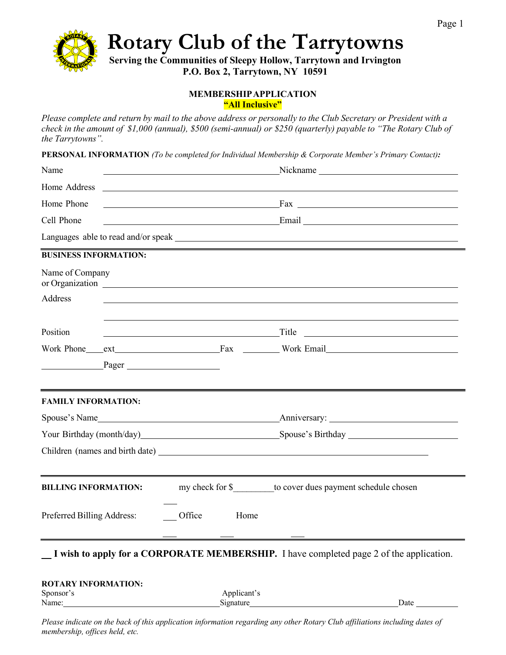

**Rotary Club of the Tarrytowns**

**Serving the Communities of Sleepy Hollow, Tarrytown and Irvington P.O. Box 2, Tarrytown, NY 10591**

#### **MEMBERSHIPAPPLICATION "All Inclusive"**

Please complete and return by mail to the above address or personally to the Club Secretary or President with a *check in the amount of \$1,000 (annual), \$500 (semi-annual) or \$250 (quarterly) payable to "The Rotary Club of the Tarrytowns".*

**PERSONAL INFORMATION** *(To be completed for Individual Membership & Corporate Member's Primary Contact):*

|                                                                                                                                                                                                                                |                | Nickname <u> Nickname</u>                                                                                                                                                                                                            |  |
|--------------------------------------------------------------------------------------------------------------------------------------------------------------------------------------------------------------------------------|----------------|--------------------------------------------------------------------------------------------------------------------------------------------------------------------------------------------------------------------------------------|--|
| Home Address                                                                                                                                                                                                                   |                |                                                                                                                                                                                                                                      |  |
|                                                                                                                                                                                                                                |                | <u>Fax and the set of the set of the set of the set of the set of the set of the set of the set of the set of the set of the set of the set of the set of the set of the set of the set of the set of the set of the set of the </u> |  |
|                                                                                                                                                                                                                                |                | <u>Email Communication of the Communication of the Communication of the Communication of the Communication of the Communication of the Communication of the Communication of the Communication of the Communication of the Commu</u> |  |
|                                                                                                                                                                                                                                |                |                                                                                                                                                                                                                                      |  |
| <b>BUSINESS INFORMATION:</b>                                                                                                                                                                                                   |                | <u> 1989 - Johann Stoff, amerikansk politiker (* 1908)</u>                                                                                                                                                                           |  |
| Name of Company                                                                                                                                                                                                                |                |                                                                                                                                                                                                                                      |  |
|                                                                                                                                                                                                                                |                |                                                                                                                                                                                                                                      |  |
|                                                                                                                                                                                                                                |                |                                                                                                                                                                                                                                      |  |
|                                                                                                                                                                                                                                |                | <u> 1989 - Johann Barn, fransk politik (</u>                                                                                                                                                                                         |  |
|                                                                                                                                                                                                                                |                | Work Phone ext Fax Work Email                                                                                                                                                                                                        |  |
|                                                                                                                                                                                                                                |                |                                                                                                                                                                                                                                      |  |
| <b>FAMILY INFORMATION:</b>                                                                                                                                                                                                     |                |                                                                                                                                                                                                                                      |  |
|                                                                                                                                                                                                                                |                |                                                                                                                                                                                                                                      |  |
| Your Birthday (month/day) Spouse's Birthday Spouse's Birthday Spouse's Birthday Spouse is Birthday Spouse in the Spouse of Birthday Spouse is Birthday Spouse in the Spouse of Birthday Spouse is a spouse in the Spouse of Bi |                |                                                                                                                                                                                                                                      |  |
|                                                                                                                                                                                                                                |                |                                                                                                                                                                                                                                      |  |
| <b>BILLING INFORMATION:</b>                                                                                                                                                                                                    |                | my check for \$ to cover dues payment schedule chosen                                                                                                                                                                                |  |
| Preferred Billing Address:                                                                                                                                                                                                     | Office<br>Home |                                                                                                                                                                                                                                      |  |
|                                                                                                                                                                                                                                |                | I wish to apply for a CORPORATE MEMBERSHIP. I have completed page 2 of the application.                                                                                                                                              |  |
| <b>ROTARY INFORMATION:</b>                                                                                                                                                                                                     |                |                                                                                                                                                                                                                                      |  |
|                                                                                                                                                                                                                                |                | <u> 1989 - Jan Barnett, fransk politik (d. 1989)</u><br><u> 1980 - Johann Barn, fransk politik amerikansk politik (d. 1980)</u><br>Title<br>Pager<br>Spouse's Name<br>Applicant's                                                    |  |

*Please indicate on the back of this application information regarding any other Rotary Club affiliations including dates of membership, offices held, etc.*